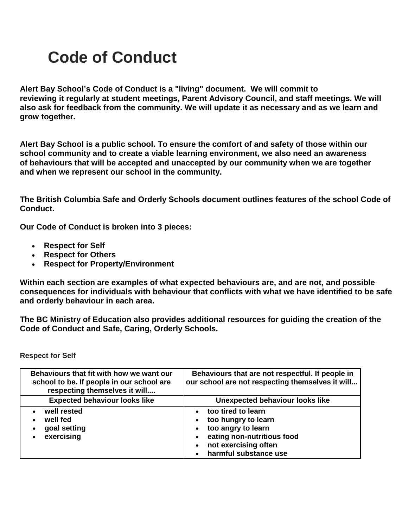## **Code of Conduct**

**Alert Bay School's Code of Conduct is a "living" document. We will commit to reviewing it regularly at student meetings, Parent Advisory Council, and staff meetings. We will also ask for feedback from the community. We will update it as necessary and as we learn and grow together.**

**Alert Bay School is a public school. To ensure the comfort of and safety of those within our school community and to create a viable learning environment, we also need an awareness of behaviours that will be accepted and unaccepted by our community when we are together and when we represent our school in the community.**

**[The British Columbia Safe and Orderly Schools document](https://www.bced.gov.bc.ca/sco/guide/scoguide.pdf#page=21) outlines features of the school Code of Conduct.**

**Our Code of Conduct is broken into 3 pieces:**

- **Respect for Self**
- **Respect for Others**
- **Respect for Property/Environment**

**Within each section are examples of what expected behaviours are, and are not, and possible consequences for individuals with behaviour that conflicts with what we have identified to be safe and orderly behaviour in each area.**

**[The BC Ministry of Education also provides additional resources](https://www.bced.gov.bc.ca/sco/) for guiding the creation of the Code of Conduct and Safe, Caring, Orderly Schools.**

**Respect for Self**

| Behaviours that fit with how we want our<br>school to be. If people in our school are<br>respecting themselves it will | Behaviours that are not respectful. If people in<br>our school are not respecting themselves it will                                           |
|------------------------------------------------------------------------------------------------------------------------|------------------------------------------------------------------------------------------------------------------------------------------------|
| <b>Expected behaviour looks like</b>                                                                                   | <b>Unexpected behaviour looks like</b>                                                                                                         |
| well rested<br>well fed<br>goal setting<br>exercising                                                                  | too tired to learn<br>too hungry to learn<br>too angry to learn<br>eating non-nutritious food<br>not exercising often<br>harmful substance use |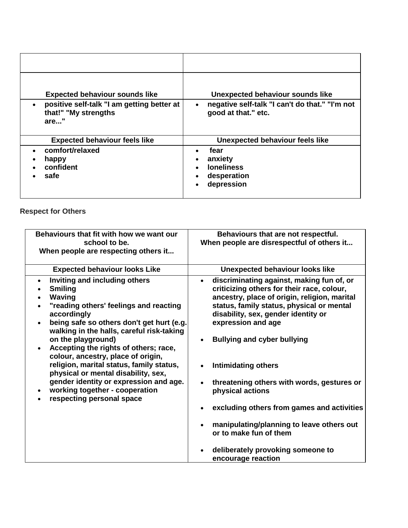| <b>Expected behaviour sounds like</b><br>positive self-talk "I am getting better at | Unexpected behaviour sounds like<br>negative self-talk "I can't do that." "I'm not |
|-------------------------------------------------------------------------------------|------------------------------------------------------------------------------------|
| that!" "My strengths<br>are"                                                        | good at that." etc.                                                                |
| <b>Expected behaviour feels like</b>                                                | Unexpected behaviour feels like                                                    |
| comfort/relaxed                                                                     | fear                                                                               |
| happy                                                                               | anxiety                                                                            |
| confident                                                                           | <b>loneliness</b>                                                                  |
| safe                                                                                | desperation<br>depression                                                          |

## **Respect for Others**

| Behaviours that fit with how we want our<br>school to be.<br>When people are respecting others it                                                                                                                                                                                                                                                                                                                                                                                                                          | Behaviours that are not respectful.<br>When people are disrespectful of others it                                                                                                                                                                                                                                                                                                                                                                                                                                                                                                    |
|----------------------------------------------------------------------------------------------------------------------------------------------------------------------------------------------------------------------------------------------------------------------------------------------------------------------------------------------------------------------------------------------------------------------------------------------------------------------------------------------------------------------------|--------------------------------------------------------------------------------------------------------------------------------------------------------------------------------------------------------------------------------------------------------------------------------------------------------------------------------------------------------------------------------------------------------------------------------------------------------------------------------------------------------------------------------------------------------------------------------------|
| <b>Expected behaviour looks Like</b>                                                                                                                                                                                                                                                                                                                                                                                                                                                                                       | <b>Unexpected behaviour looks like</b>                                                                                                                                                                                                                                                                                                                                                                                                                                                                                                                                               |
| Inviting and including others<br>$\bullet$<br><b>Smiling</b><br>Waving<br>"reading others' feelings and reacting<br>accordingly<br>being safe so others don't get hurt (e.g.<br>walking in the halls, careful risk-taking<br>on the playground)<br>Accepting the rights of others; race,<br>colour, ancestry, place of origin,<br>religion, marital status, family status,<br>physical or mental disability, sex,<br>gender identity or expression and age.<br>working together - cooperation<br>respecting personal space | discriminating against, making fun of, or<br>criticizing others for their race, colour,<br>ancestry, place of origin, religion, marital<br>status, family status, physical or mental<br>disability, sex, gender identity or<br>expression and age<br><b>Bullying and cyber bullying</b><br>$\bullet$<br><b>Intimidating others</b><br>threatening others with words, gestures or<br>physical actions<br>excluding others from games and activities<br>manipulating/planning to leave others out<br>or to make fun of them<br>deliberately provoking someone to<br>encourage reaction |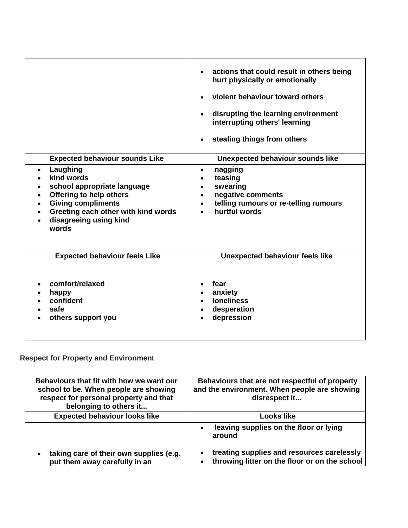| <b>Expected behaviour sounds Like</b><br>Laughing<br>$\bullet$<br>kind words<br>school appropriate language<br>Offering to help others<br><b>Giving compliments</b><br>Greeting each other with kind words<br>disagreeing using kind<br>words | actions that could result in others being<br>hurt physically or emotionally<br>violent behaviour toward others<br>disrupting the learning environment<br>$\bullet$<br>interrupting others' learning<br>stealing things from others<br>$\bullet$<br>Unexpected behaviour sounds like<br>nagging<br>$\bullet$<br>teasing<br>$\bullet$<br>swearing<br>$\bullet$<br>negative comments<br>$\bullet$<br>telling rumours or re-telling rumours<br>$\bullet$<br>hurtful words |
|-----------------------------------------------------------------------------------------------------------------------------------------------------------------------------------------------------------------------------------------------|-----------------------------------------------------------------------------------------------------------------------------------------------------------------------------------------------------------------------------------------------------------------------------------------------------------------------------------------------------------------------------------------------------------------------------------------------------------------------|
| <b>Expected behaviour feels Like</b>                                                                                                                                                                                                          | <b>Unexpected behaviour feels like</b>                                                                                                                                                                                                                                                                                                                                                                                                                                |
| comfort/relaxed<br>happy<br>confident<br>safe<br>others support you                                                                                                                                                                           | fear<br>anxiety<br><b>loneliness</b><br>desperation<br>depression                                                                                                                                                                                                                                                                                                                                                                                                     |

## **Respect for Property and Environment**

| Behaviours that fit with how we want our<br>school to be. When people are showing<br>respect for personal property and that<br>belonging to others it | Behaviours that are not respectful of property<br>and the environment. When people are showing<br>disrespect it |
|-------------------------------------------------------------------------------------------------------------------------------------------------------|-----------------------------------------------------------------------------------------------------------------|
| <b>Expected behaviour looks like</b>                                                                                                                  | Looks like                                                                                                      |
|                                                                                                                                                       | leaving supplies on the floor or lying<br>around                                                                |
| taking care of their own supplies (e.g.<br>$\bullet$<br>put them away carefully in an                                                                 | treating supplies and resources carelessly<br>throwing litter on the floor or on the school                     |